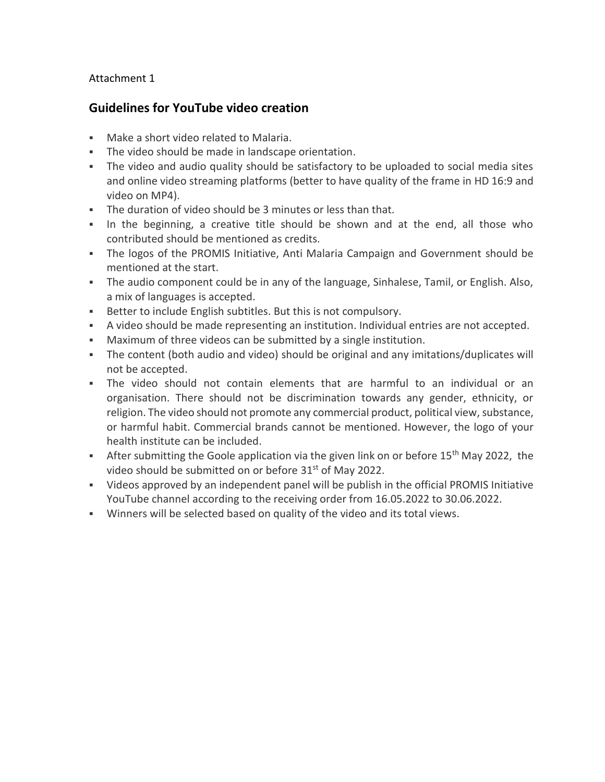## Attachment 1

## **Guidelines for YouTube video creation**

- Make a short video related to Malaria.
- The video should be made in landscape orientation.
- The video and audio quality should be satisfactory to be uploaded to social media sites and online video streaming platforms (better to have quality of the frame in HD 16:9 and video on MP4).
- The duration of video should be 3 minutes or less than that.
- In the beginning, a creative title should be shown and at the end, all those who contributed should be mentioned as credits.
- The logos of the PROMIS Initiative, Anti Malaria Campaign and Government should be mentioned at the start.
- **The audio component could be in any of the language, Sinhalese, Tamil, or English. Also,** a mix of languages is accepted.
- **EXECTER IN A BETTER IS NOTE** But this is not compulsory.
- A video should be made representing an institution. Individual entries are not accepted.
- Maximum of three videos can be submitted by a single institution.
- The content (both audio and video) should be original and any imitations/duplicates will not be accepted.
- The video should not contain elements that are harmful to an individual or an organisation. There should not be discrimination towards any gender, ethnicity, or religion. The video should not promote any commercial product, political view, substance, or harmful habit. Commercial brands cannot be mentioned. However, the logo of your health institute can be included.
- After submitting the Goole application via the given link on or before 15<sup>th</sup> May 2022, the video should be submitted on or before 31<sup>st</sup> of May 2022.
- Videos approved by an independent panel will be publish in the official PROMIS Initiative YouTube channel according to the receiving order from 16.05.2022 to 30.06.2022.
- Winners will be selected based on quality of the video and its total views.